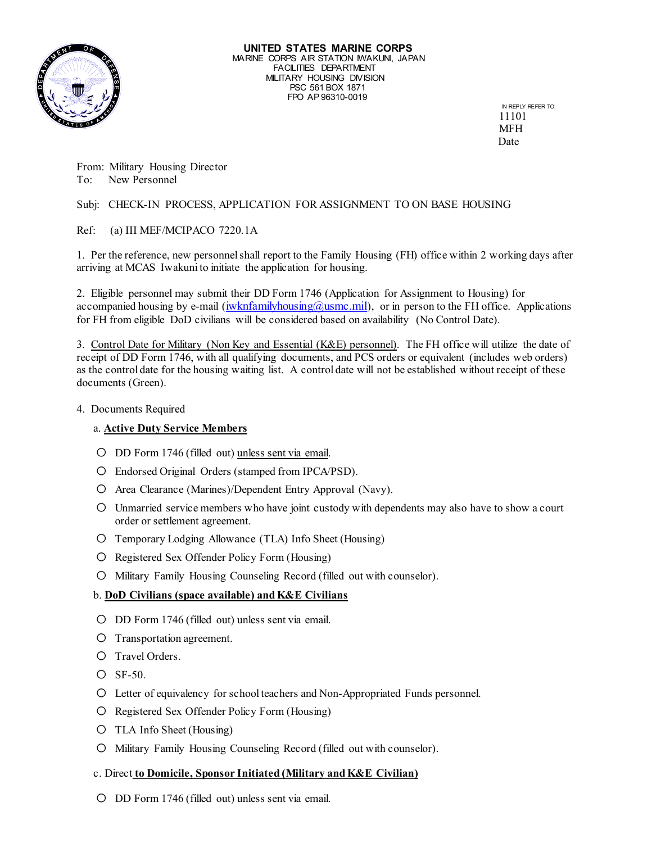

 11101 MFH **Date** 

From: Military Housing Director To: New Personnel

# Subj: CHECK-IN PROCESS, APPLICATION FOR ASSIGNMENT TO ON BASE HOUSING

Ref: (a) III MEF/MCIPACO 7220.1A

1. Per the reference, new personnel shall report to the Family Housing (FH) office within 2 working days after arriving at MCAS Iwakuni to initiate the application for housing.

2. Eligible personnel may submit their DD Form 1746 (Application for Assignment to Housing) for accompanied housing by e-mail  $(iwknfamilyhousing@usmc.mil)$ , or in person to the FH office. Applications for FH from eligible DoD civilians will be considered based on availability (No Control Date).

3. Control Date for Military (Non Key and Essential (K&E) personnel). The FH office will utilize the date of receipt of DD Form 1746, with all qualifying documents, and PCS orders or equivalent (includes web orders) as the control date for the housing waiting list. A control date will not be established without receipt of these documents (Green).

4. Documents Required

# a. **Active Duty Service Members**

- O DD Form 1746 (filled out) unless sent via email.
- o Endorsed Original Orders (stamped from IPCA/PSD).
- o Area Clearance (Marines)/Dependent Entry Approval (Navy).
- o Unmarried service members who have joint custody with dependents may also have to show a court order or settlement agreement.
- o Temporary Lodging Allowance (TLA) Info Sheet (Housing)
- o Registered Sex Offender Policy Form (Housing)
- o Military Family Housing Counseling Record (filled out with counselor).

# b. **DoD Civilians (space available) and K&E Civilians**

- o DD Form 1746 (filled out) unless sent via email.
- o Transportation agreement.
- O Travel Orders.
- o SF-50.
- o Letter of equivalency for school teachers and Non-Appropriated Funds personnel.
- o Registered Sex Offender Policy Form (Housing)
- o TLA Info Sheet (Housing)
- o Military Family Housing Counseling Record (filled out with counselor).

#### c. Direct **to Domicile, Sponsor Initiated (Military and K&E Civilian)**

o DD Form 1746 (filled out) unless sent via email.